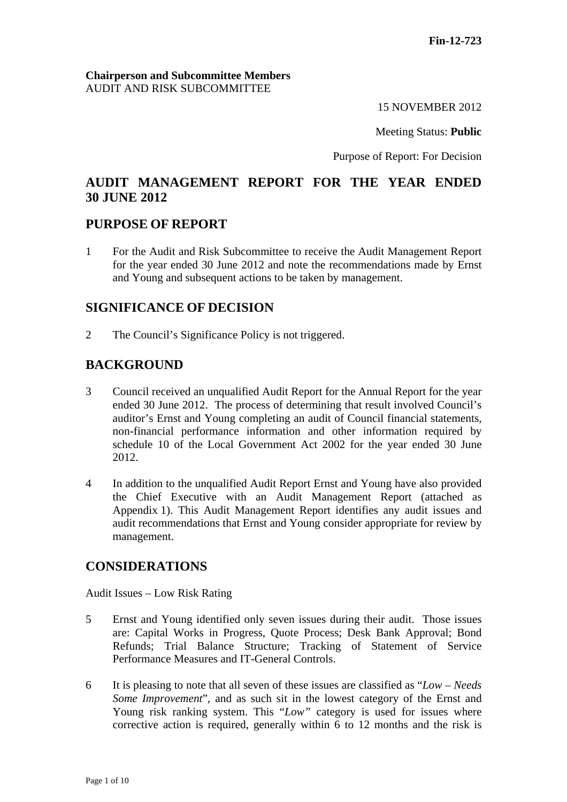### **Chairperson and Subcommittee Members** AUDIT AND RISK SUBCOMMITTEE

15 NOVEMBER 2012

Meeting Status: **Public**

Purpose of Report: For Decision

# **AUDIT MANAGEMENT REPORT FOR THE YEAR ENDED 30 JUNE 2012**

## **PURPOSE OF REPORT**

1 For the Audit and Risk Subcommittee to receive the Audit Management Report for the year ended 30 June 2012 and note the recommendations made by Ernst and Young and subsequent actions to be taken by management.

# **SIGNIFICANCE OF DECISION**

2 The Council's Significance Policy is not triggered.

# **BACKGROUND**

- 3 Council received an unqualified Audit Report for the Annual Report for the year ended 30 June 2012. The process of determining that result involved Council's auditor's Ernst and Young completing an audit of Council financial statements, non-financial performance information and other information required by schedule 10 of the Local Government Act 2002 for the year ended 30 June 2012.
- 4 In addition to the unqualified Audit Report Ernst and Young have also provided the Chief Executive with an Audit Management Report (attached as Appendix 1). This Audit Management Report identifies any audit issues and audit recommendations that Ernst and Young consider appropriate for review by management.

# **CONSIDERATIONS**

Audit Issues – Low Risk Rating

- 5 Ernst and Young identified only seven issues during their audit. Those issues are: Capital Works in Progress, Quote Process; Desk Bank Approval; Bond Refunds; Trial Balance Structure; Tracking of Statement of Service Performance Measures and IT-General Controls.
- 6 It is pleasing to note that all seven of these issues are classified as "*Low Needs Some Improvement*", and as such sit in the lowest category of the Ernst and Young risk ranking system. This "Low" category is used for issues where corrective action is required, generally within 6 to 12 months and the risk is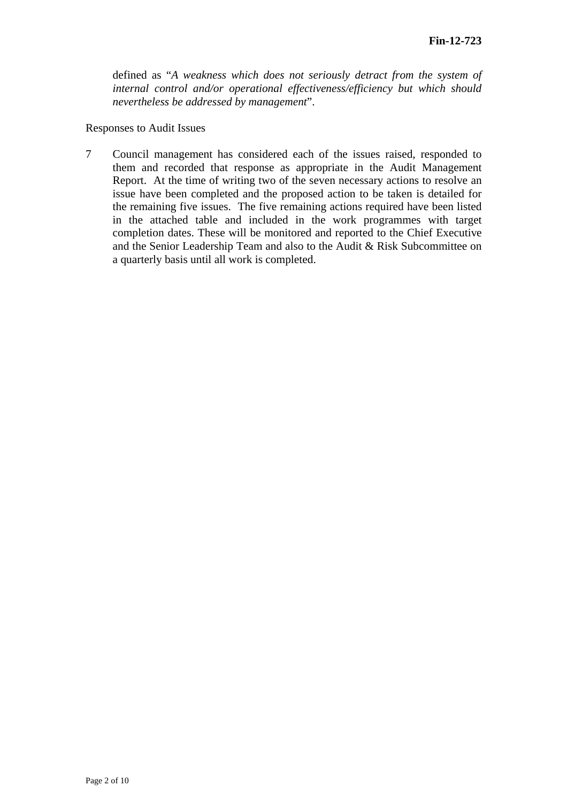defined as "*A weakness which does not seriously detract from the system of internal control and/or operational effectiveness/efficiency but which should nevertheless be addressed by management*".

#### Responses to Audit Issues

7 Council management has considered each of the issues raised, responded to them and recorded that response as appropriate in the Audit Management Report. At the time of writing two of the seven necessary actions to resolve an issue have been completed and the proposed action to be taken is detailed for the remaining five issues. The five remaining actions required have been listed in the attached table and included in the work programmes with target completion dates. These will be monitored and reported to the Chief Executive and the Senior Leadership Team and also to the Audit & Risk Subcommittee on a quarterly basis until all work is completed.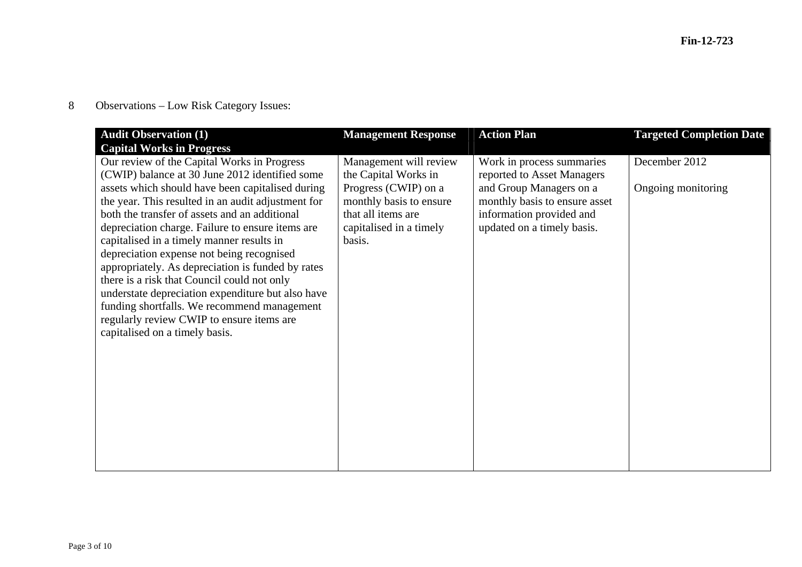8Observations – Low Risk Category Issues:

| <b>Audit Observation (1)</b>                                                                     | <b>Management Response</b> | <b>Action Plan</b>            | <b>Targeted Completion Date</b> |
|--------------------------------------------------------------------------------------------------|----------------------------|-------------------------------|---------------------------------|
| <b>Capital Works in Progress</b>                                                                 |                            |                               |                                 |
| Our review of the Capital Works in Progress                                                      | Management will review     | Work in process summaries     | December 2012                   |
| (CWIP) balance at 30 June 2012 identified some                                                   | the Capital Works in       | reported to Asset Managers    |                                 |
| assets which should have been capitalised during                                                 | Progress (CWIP) on a       | and Group Managers on a       | Ongoing monitoring              |
| the year. This resulted in an audit adjustment for                                               | monthly basis to ensure    | monthly basis to ensure asset |                                 |
| both the transfer of assets and an additional                                                    | that all items are         | information provided and      |                                 |
| depreciation charge. Failure to ensure items are                                                 | capitalised in a timely    | updated on a timely basis.    |                                 |
| capitalised in a timely manner results in                                                        | basis.                     |                               |                                 |
| depreciation expense not being recognised                                                        |                            |                               |                                 |
| appropriately. As depreciation is funded by rates<br>there is a risk that Council could not only |                            |                               |                                 |
| understate depreciation expenditure but also have                                                |                            |                               |                                 |
| funding shortfalls. We recommend management                                                      |                            |                               |                                 |
| regularly review CWIP to ensure items are                                                        |                            |                               |                                 |
| capitalised on a timely basis.                                                                   |                            |                               |                                 |
|                                                                                                  |                            |                               |                                 |
|                                                                                                  |                            |                               |                                 |
|                                                                                                  |                            |                               |                                 |
|                                                                                                  |                            |                               |                                 |
|                                                                                                  |                            |                               |                                 |
|                                                                                                  |                            |                               |                                 |
|                                                                                                  |                            |                               |                                 |
|                                                                                                  |                            |                               |                                 |
|                                                                                                  |                            |                               |                                 |
|                                                                                                  |                            |                               |                                 |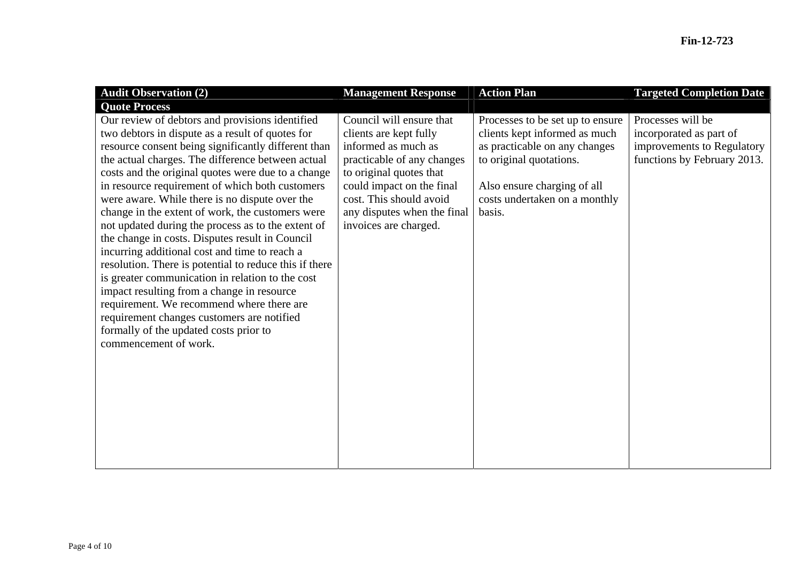| <b>Audit Observation (2)</b>                                                                                                                                                                                                                                                                                                                                                                                                                                                                                                                                                                                                                                                                                                                                                                                                                                                                                       | <b>Management Response</b>                                                                                                                                                                                                                         | <b>Action Plan</b>                                                                                                                                                                                      | <b>Targeted Completion Date</b>                                                                           |
|--------------------------------------------------------------------------------------------------------------------------------------------------------------------------------------------------------------------------------------------------------------------------------------------------------------------------------------------------------------------------------------------------------------------------------------------------------------------------------------------------------------------------------------------------------------------------------------------------------------------------------------------------------------------------------------------------------------------------------------------------------------------------------------------------------------------------------------------------------------------------------------------------------------------|----------------------------------------------------------------------------------------------------------------------------------------------------------------------------------------------------------------------------------------------------|---------------------------------------------------------------------------------------------------------------------------------------------------------------------------------------------------------|-----------------------------------------------------------------------------------------------------------|
| <b>Quote Process</b>                                                                                                                                                                                                                                                                                                                                                                                                                                                                                                                                                                                                                                                                                                                                                                                                                                                                                               |                                                                                                                                                                                                                                                    |                                                                                                                                                                                                         |                                                                                                           |
| Our review of debtors and provisions identified<br>two debtors in dispute as a result of quotes for<br>resource consent being significantly different than<br>the actual charges. The difference between actual<br>costs and the original quotes were due to a change<br>in resource requirement of which both customers<br>were aware. While there is no dispute over the<br>change in the extent of work, the customers were<br>not updated during the process as to the extent of<br>the change in costs. Disputes result in Council<br>incurring additional cost and time to reach a<br>resolution. There is potential to reduce this if there<br>is greater communication in relation to the cost<br>impact resulting from a change in resource<br>requirement. We recommend where there are<br>requirement changes customers are notified<br>formally of the updated costs prior to<br>commencement of work. | Council will ensure that<br>clients are kept fully<br>informed as much as<br>practicable of any changes<br>to original quotes that<br>could impact on the final<br>cost. This should avoid<br>any disputes when the final<br>invoices are charged. | Processes to be set up to ensure<br>clients kept informed as much<br>as practicable on any changes<br>to original quotations.<br>Also ensure charging of all<br>costs undertaken on a monthly<br>basis. | Processes will be<br>incorporated as part of<br>improvements to Regulatory<br>functions by February 2013. |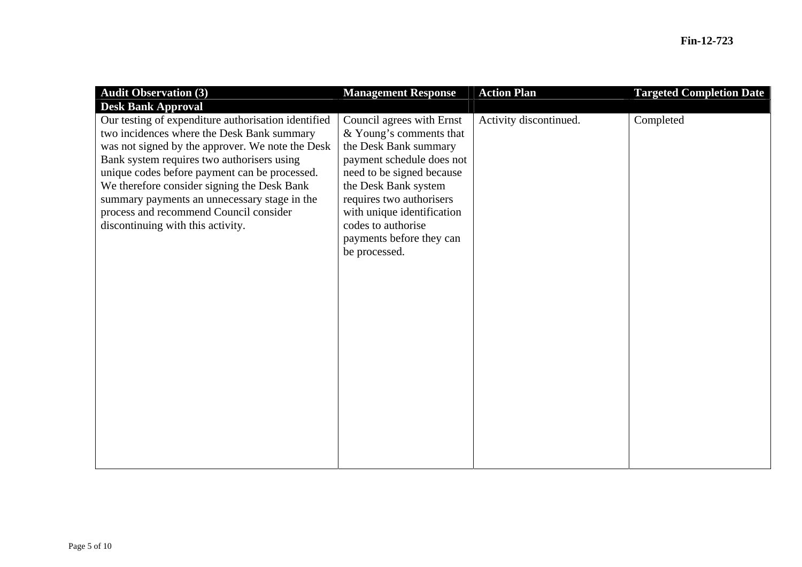| <b>Audit Observation (3)</b>                                                                                                                                                                                                                                                                                                                                                                                                       | <b>Management Response</b>                                                                                                                                                                                                                                                                   | <b>Action Plan</b>     | <b>Targeted Completion Date</b> |
|------------------------------------------------------------------------------------------------------------------------------------------------------------------------------------------------------------------------------------------------------------------------------------------------------------------------------------------------------------------------------------------------------------------------------------|----------------------------------------------------------------------------------------------------------------------------------------------------------------------------------------------------------------------------------------------------------------------------------------------|------------------------|---------------------------------|
| <b>Desk Bank Approval</b>                                                                                                                                                                                                                                                                                                                                                                                                          |                                                                                                                                                                                                                                                                                              |                        |                                 |
| Our testing of expenditure authorisation identified<br>two incidences where the Desk Bank summary<br>was not signed by the approver. We note the Desk<br>Bank system requires two authorisers using<br>unique codes before payment can be processed.<br>We therefore consider signing the Desk Bank<br>summary payments an unnecessary stage in the<br>process and recommend Council consider<br>discontinuing with this activity. | Council agrees with Ernst<br>& Young's comments that<br>the Desk Bank summary<br>payment schedule does not<br>need to be signed because<br>the Desk Bank system<br>requires two authorisers<br>with unique identification<br>codes to authorise<br>payments before they can<br>be processed. | Activity discontinued. | Completed                       |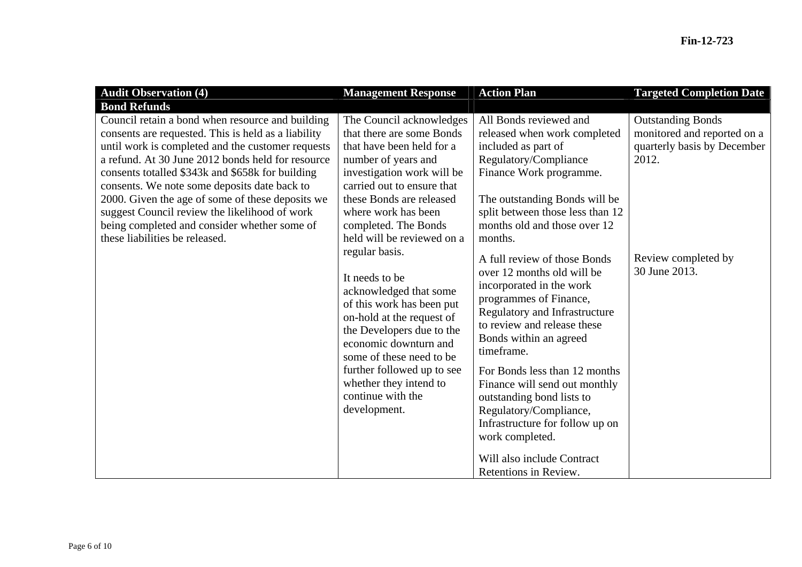| <b>Audit Observation (4)</b>                                                                                                                                                                                                                                                                                                                                                                                                                                                                                 | <b>Management Response</b>                                                                                                                                                                                                                                                                                                                                                                                                                                                                                                                                                            | <b>Action Plan</b>                                                                                                                                                                                                                                                                                                                                                                                                                                                                                                                                                                                                                                                                         | <b>Targeted Completion Date</b>                                                                                                         |
|--------------------------------------------------------------------------------------------------------------------------------------------------------------------------------------------------------------------------------------------------------------------------------------------------------------------------------------------------------------------------------------------------------------------------------------------------------------------------------------------------------------|---------------------------------------------------------------------------------------------------------------------------------------------------------------------------------------------------------------------------------------------------------------------------------------------------------------------------------------------------------------------------------------------------------------------------------------------------------------------------------------------------------------------------------------------------------------------------------------|--------------------------------------------------------------------------------------------------------------------------------------------------------------------------------------------------------------------------------------------------------------------------------------------------------------------------------------------------------------------------------------------------------------------------------------------------------------------------------------------------------------------------------------------------------------------------------------------------------------------------------------------------------------------------------------------|-----------------------------------------------------------------------------------------------------------------------------------------|
| <b>Bond Refunds</b>                                                                                                                                                                                                                                                                                                                                                                                                                                                                                          |                                                                                                                                                                                                                                                                                                                                                                                                                                                                                                                                                                                       |                                                                                                                                                                                                                                                                                                                                                                                                                                                                                                                                                                                                                                                                                            |                                                                                                                                         |
| Council retain a bond when resource and building<br>consents are requested. This is held as a liability<br>until work is completed and the customer requests<br>a refund. At 30 June 2012 bonds held for resource<br>consents totalled \$343k and \$658k for building<br>consents. We note some deposits date back to<br>2000. Given the age of some of these deposits we<br>suggest Council review the likelihood of work<br>being completed and consider whether some of<br>these liabilities be released. | The Council acknowledges<br>that there are some Bonds<br>that have been held for a<br>number of years and<br>investigation work will be<br>carried out to ensure that<br>these Bonds are released<br>where work has been<br>completed. The Bonds<br>held will be reviewed on a<br>regular basis.<br>It needs to be<br>acknowledged that some<br>of this work has been put<br>on-hold at the request of<br>the Developers due to the<br>economic downturn and<br>some of these need to be<br>further followed up to see<br>whether they intend to<br>continue with the<br>development. | All Bonds reviewed and<br>released when work completed<br>included as part of<br>Regulatory/Compliance<br>Finance Work programme.<br>The outstanding Bonds will be<br>split between those less than 12<br>months old and those over 12<br>months.<br>A full review of those Bonds<br>over 12 months old will be<br>incorporated in the work<br>programmes of Finance,<br>Regulatory and Infrastructure<br>to review and release these<br>Bonds within an agreed<br>timeframe.<br>For Bonds less than 12 months<br>Finance will send out monthly<br>outstanding bond lists to<br>Regulatory/Compliance,<br>Infrastructure for follow up on<br>work completed.<br>Will also include Contract | <b>Outstanding Bonds</b><br>monitored and reported on a<br>quarterly basis by December<br>2012.<br>Review completed by<br>30 June 2013. |
|                                                                                                                                                                                                                                                                                                                                                                                                                                                                                                              |                                                                                                                                                                                                                                                                                                                                                                                                                                                                                                                                                                                       | Retentions in Review.                                                                                                                                                                                                                                                                                                                                                                                                                                                                                                                                                                                                                                                                      |                                                                                                                                         |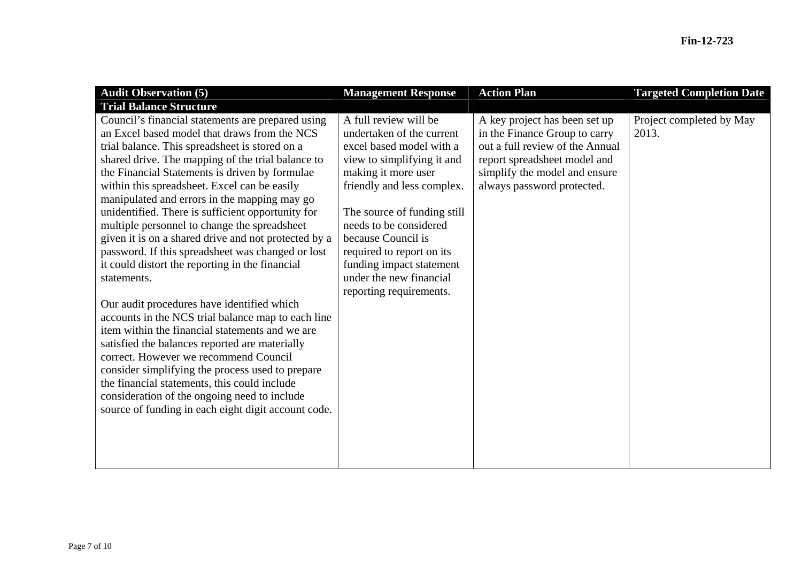| <b>Audit Observation (5)</b>                                                                                                                                                                                                                                                                                                                                                                                                                                                                                                                                                                                                                                                                                                                                                                                                                                                                                                                                                                                                                                                                                | <b>Management Response</b>                                                                                                                                                                                                                                                                                                                                      | <b>Action Plan</b>                                                                                                                                                                               | <b>Targeted Completion Date</b>   |
|-------------------------------------------------------------------------------------------------------------------------------------------------------------------------------------------------------------------------------------------------------------------------------------------------------------------------------------------------------------------------------------------------------------------------------------------------------------------------------------------------------------------------------------------------------------------------------------------------------------------------------------------------------------------------------------------------------------------------------------------------------------------------------------------------------------------------------------------------------------------------------------------------------------------------------------------------------------------------------------------------------------------------------------------------------------------------------------------------------------|-----------------------------------------------------------------------------------------------------------------------------------------------------------------------------------------------------------------------------------------------------------------------------------------------------------------------------------------------------------------|--------------------------------------------------------------------------------------------------------------------------------------------------------------------------------------------------|-----------------------------------|
| <b>Trial Balance Structure</b>                                                                                                                                                                                                                                                                                                                                                                                                                                                                                                                                                                                                                                                                                                                                                                                                                                                                                                                                                                                                                                                                              |                                                                                                                                                                                                                                                                                                                                                                 |                                                                                                                                                                                                  |                                   |
| Council's financial statements are prepared using<br>an Excel based model that draws from the NCS<br>trial balance. This spreadsheet is stored on a<br>shared drive. The mapping of the trial balance to<br>the Financial Statements is driven by formulae<br>within this spreadsheet. Excel can be easily<br>manipulated and errors in the mapping may go<br>unidentified. There is sufficient opportunity for<br>multiple personnel to change the spreadsheet<br>given it is on a shared drive and not protected by a<br>password. If this spreadsheet was changed or lost<br>it could distort the reporting in the financial<br>statements.<br>Our audit procedures have identified which<br>accounts in the NCS trial balance map to each line<br>item within the financial statements and we are<br>satisfied the balances reported are materially<br>correct. However we recommend Council<br>consider simplifying the process used to prepare<br>the financial statements, this could include<br>consideration of the ongoing need to include<br>source of funding in each eight digit account code. | A full review will be<br>undertaken of the current<br>excel based model with a<br>view to simplifying it and<br>making it more user<br>friendly and less complex.<br>The source of funding still<br>needs to be considered<br>because Council is<br>required to report on its<br>funding impact statement<br>under the new financial<br>reporting requirements. | A key project has been set up<br>in the Finance Group to carry<br>out a full review of the Annual<br>report spreadsheet model and<br>simplify the model and ensure<br>always password protected. | Project completed by May<br>2013. |
|                                                                                                                                                                                                                                                                                                                                                                                                                                                                                                                                                                                                                                                                                                                                                                                                                                                                                                                                                                                                                                                                                                             |                                                                                                                                                                                                                                                                                                                                                                 |                                                                                                                                                                                                  |                                   |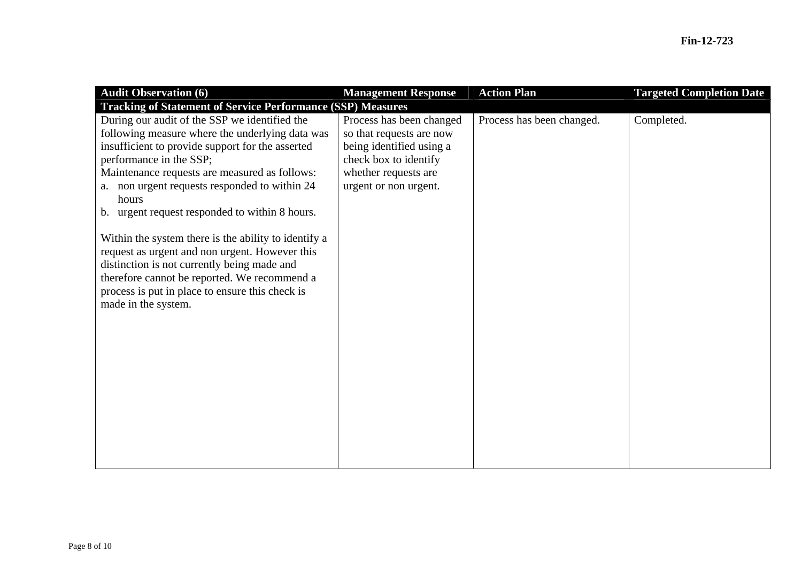| <b>Audit Observation (6)</b><br><b>Tracking of Statement of Service Performance (SSP) Measures</b>                                                                                                                                                                                                                                                                                                                                                                                                                                                                                                                                 | <b>Management Response</b>                                                                                                                                 | <b>Action Plan</b>        | <b>Targeted Completion Date</b> |
|------------------------------------------------------------------------------------------------------------------------------------------------------------------------------------------------------------------------------------------------------------------------------------------------------------------------------------------------------------------------------------------------------------------------------------------------------------------------------------------------------------------------------------------------------------------------------------------------------------------------------------|------------------------------------------------------------------------------------------------------------------------------------------------------------|---------------------------|---------------------------------|
| During our audit of the SSP we identified the<br>following measure where the underlying data was<br>insufficient to provide support for the asserted<br>performance in the SSP;<br>Maintenance requests are measured as follows:<br>non urgent requests responded to within 24<br>a.<br>hours<br>b. urgent request responded to within 8 hours.<br>Within the system there is the ability to identify a<br>request as urgent and non urgent. However this<br>distinction is not currently being made and<br>therefore cannot be reported. We recommend a<br>process is put in place to ensure this check is<br>made in the system. | Process has been changed<br>so that requests are now<br>being identified using a<br>check box to identify<br>whether requests are<br>urgent or non urgent. | Process has been changed. | Completed.                      |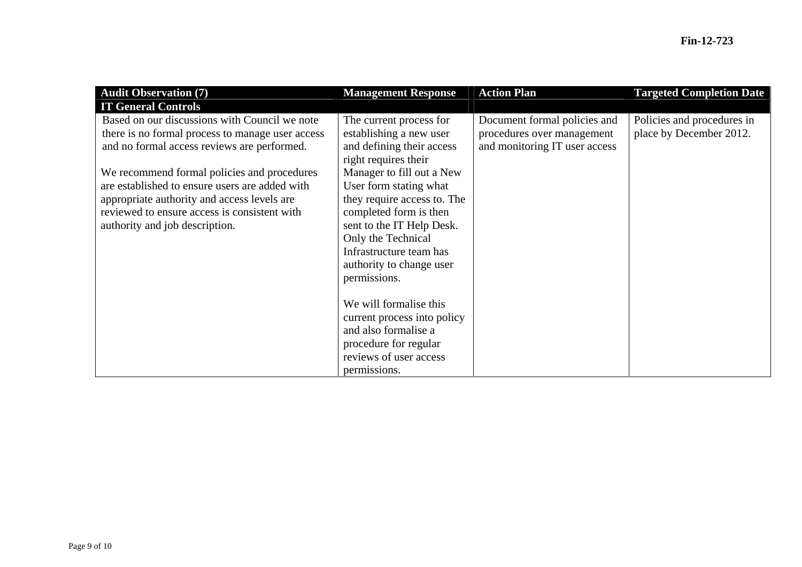| <b>Audit Observation (7)</b><br><b>IT General Controls</b>                                                                                                                                                                                                                                                                                                                         | <b>Management Response</b>                                                                                                                                                                                                                                                                                                                        | <b>Action Plan</b>                                                                          | <b>Targeted Completion Date</b>                       |
|------------------------------------------------------------------------------------------------------------------------------------------------------------------------------------------------------------------------------------------------------------------------------------------------------------------------------------------------------------------------------------|---------------------------------------------------------------------------------------------------------------------------------------------------------------------------------------------------------------------------------------------------------------------------------------------------------------------------------------------------|---------------------------------------------------------------------------------------------|-------------------------------------------------------|
| Based on our discussions with Council we note<br>there is no formal process to manage user access<br>and no formal access reviews are performed.<br>We recommend formal policies and procedures<br>are established to ensure users are added with<br>appropriate authority and access levels are<br>reviewed to ensure access is consistent with<br>authority and job description. | The current process for<br>establishing a new user<br>and defining their access<br>right requires their<br>Manager to fill out a New<br>User form stating what<br>they require access to. The<br>completed form is then<br>sent to the IT Help Desk.<br>Only the Technical<br>Infrastructure team has<br>authority to change user<br>permissions. | Document formal policies and<br>procedures over management<br>and monitoring IT user access | Policies and procedures in<br>place by December 2012. |
|                                                                                                                                                                                                                                                                                                                                                                                    | We will formalise this<br>current process into policy<br>and also formalise a<br>procedure for regular<br>reviews of user access<br>permissions.                                                                                                                                                                                                  |                                                                                             |                                                       |